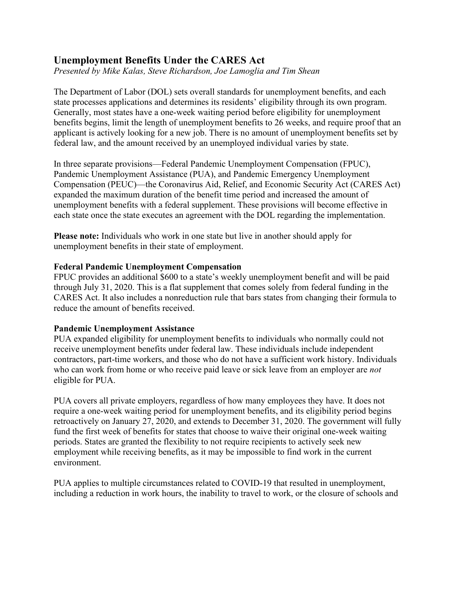# **Unemployment Benefits Under the CARES Act**

*Presented by Mike Kalas, Steve Richardson, Joe Lamoglia and Tim Shean*

The Department of Labor (DOL) sets overall standards for unemployment benefits, and each state processes applications and determines its residents' eligibility through its own program. Generally, most states have a one-week waiting period before eligibility for unemployment benefits begins, limit the length of unemployment benefits to 26 weeks, and require proof that an applicant is actively looking for a new job. There is no amount of unemployment benefits set by federal law, and the amount received by an unemployed individual varies by state.

In three separate provisions—Federal Pandemic Unemployment Compensation (FPUC), Pandemic Unemployment Assistance (PUA), and Pandemic Emergency Unemployment Compensation (PEUC)—the Coronavirus Aid, Relief, and Economic Security Act (CARES Act) expanded the maximum duration of the benefit time period and increased the amount of unemployment benefits with a federal supplement. These provisions will become effective in each state once the state executes an agreement with the DOL regarding the implementation.

**Please note:** Individuals who work in one state but live in another should apply for unemployment benefits in their state of employment.

### **Federal Pandemic Unemployment Compensation**

FPUC provides an additional \$600 to a state's weekly unemployment benefit and will be paid through July 31, 2020. This is a flat supplement that comes solely from federal funding in the CARES Act. It also includes a nonreduction rule that bars states from changing their formula to reduce the amount of benefits received.

## **Pandemic Unemployment Assistance**

PUA expanded eligibility for unemployment benefits to individuals who normally could not receive unemployment benefits under federal law. These individuals include independent contractors, part-time workers, and those who do not have a sufficient work history. Individuals who can work from home or who receive paid leave or sick leave from an employer are *not* eligible for PUA.

PUA covers all private employers, regardless of how many employees they have. It does not require a one-week waiting period for unemployment benefits, and its eligibility period begins retroactively on January 27, 2020, and extends to December 31, 2020. The government will fully fund the first week of benefits for states that choose to waive their original one-week waiting periods. States are granted the flexibility to not require recipients to actively seek new employment while receiving benefits, as it may be impossible to find work in the current environment.

PUA applies to multiple circumstances related to COVID-19 that resulted in unemployment, including a reduction in work hours, the inability to travel to work, or the closure of schools and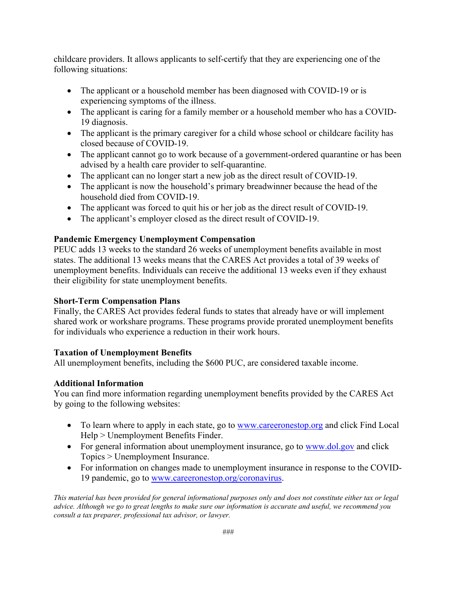childcare providers. It allows applicants to self-certify that they are experiencing one of the following situations:

- The applicant or a household member has been diagnosed with COVID-19 or is experiencing symptoms of the illness.
- The applicant is caring for a family member or a household member who has a COVID-19 diagnosis.
- The applicant is the primary caregiver for a child whose school or childcare facility has closed because of COVID-19.
- The applicant cannot go to work because of a government-ordered quarantine or has been advised by a health care provider to self-quarantine.
- The applicant can no longer start a new job as the direct result of COVID-19.
- The applicant is now the household's primary breadwinner because the head of the household died from COVID-19.
- The applicant was forced to quit his or her job as the direct result of COVID-19.
- The applicant's employer closed as the direct result of COVID-19.

## **Pandemic Emergency Unemployment Compensation**

PEUC adds 13 weeks to the standard 26 weeks of unemployment benefits available in most states. The additional 13 weeks means that the CARES Act provides a total of 39 weeks of unemployment benefits. Individuals can receive the additional 13 weeks even if they exhaust their eligibility for state unemployment benefits.

## **Short-Term Compensation Plans**

Finally, the CARES Act provides federal funds to states that already have or will implement shared work or workshare programs. These programs provide prorated unemployment benefits for individuals who experience a reduction in their work hours.

## **Taxation of Unemployment Benefits**

All unemployment benefits, including the \$600 PUC, are considered taxable income.

## **Additional Information**

You can find more information regarding unemployment benefits provided by the CARES Act by going to the following websites:

- To learn where to apply in each state, go to [www.careeronestop.org](http://www.careeronestop.org/) and click Find Local Help > Unemployment Benefits Finder.
- For general information about unemployment insurance, go to [www.dol.gov](http://www.dol.gov/) and click Topics > Unemployment Insurance.
- For information on changes made to unemployment insurance in response to the COVID-19 pandemic, go to [www.careeronestop.org/coronavirus.](http://www.careeronestop.org/coronavirus)

*This material has been provided for general informational purposes only and does not constitute either tax or legal advice. Although we go to great lengths to make sure our information is accurate and useful, we recommend you consult a tax preparer, professional tax advisor, or lawyer.*